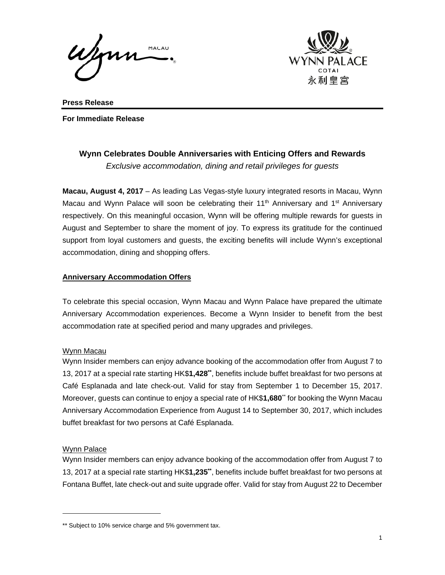

**Press Release For Immediate Release** 

# **Wynn Celebrates Double Anniversaries with Enticing Offers and Rewards** *Exclusive accommodation, dining and retail privileges for guests*

**Macau, August 4, 2017** – As leading Las Vegas-style luxury integrated resorts in Macau, Wynn Macau and Wynn Palace will soon be celebrating their 11<sup>th</sup> Anniversary and 1<sup>st</sup> Anniversary respectively. On this meaningful occasion, Wynn will be offering multiple rewards for guests in August and September to share the moment of joy. To express its gratitude for the continued support from loyal customers and guests, the exciting benefits will include Wynn's exceptional accommodation, dining and shopping offers.

## **Anniversary Accommodation Offers**

To celebrate this special occasion, Wynn Macau and Wynn Palace have prepared the ultimate Anniversary Accommodation experiences. Become a Wynn Insider to benefit from the best accommodation rate at specified period and many upgrades and privileges.

## Wynn Macau

Wynn Insider members can enjoy advance booking of the accommodation offer from August 7 to 13, 2017 at a special rate starting HK\$**1,428\*\***, benefits include buffet breakfast for two persons at Café Esplanada and late check-out. Valid for stay from September 1 to December 15, 2017. Moreover, guests can continue to enjoy a special rate of HK\$**1,680**\*\* for booking the Wynn Macau Anniversary Accommodation Experience from August 14 to September 30, 2017, which includes buffet breakfast for two persons at Café Esplanada.

## Wynn Palace

l

Wynn Insider members can enjoy advance booking of the accommodation offer from August 7 to 13, 2017 at a special rate starting HK\$**1,235\*\***, benefits include buffet breakfast for two persons at Fontana Buffet, late check-out and suite upgrade offer. Valid for stay from August 22 to December

<sup>\*\*</sup> Subject to 10% service charge and 5% government tax.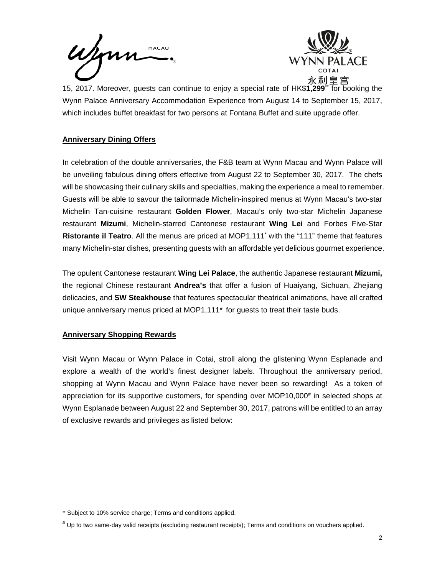Wynn



15, 2017. Moreover, guests can continue to enjoy a special rate of HK\$**1,299**\*\* for booking the Wynn Palace Anniversary Accommodation Experience from August 14 to September 15, 2017, which includes buffet breakfast for two persons at Fontana Buffet and suite upgrade offer.

## **Anniversary Dining Offers**

In celebration of the double anniversaries, the F&B team at Wynn Macau and Wynn Palace will be unveiling fabulous dining offers effective from August 22 to September 30, 2017. The chefs will be showcasing their culinary skills and specialties, making the experience a meal to remember. Guests will be able to savour the tailormade Michelin-inspired menus at Wynn Macau's two-star Michelin Tan-cuisine restaurant **Golden Flower**, Macau's only two-star Michelin Japanese restaurant **Mizumi**, Michelin-starred Cantonese restaurant **Wing Lei** and Forbes Five-Star Ristorante il Teatro. All the menus are priced at MOP1,111<sup>\*</sup> with the "111" theme that features many Michelin-star dishes, presenting guests with an affordable yet delicious gourmet experience.

The opulent Cantonese restaurant **Wing Lei Palace**, the authentic Japanese restaurant **Mizumi,** the regional Chinese restaurant **Andrea's** that offer a fusion of Huaiyang, Sichuan, Zhejiang delicacies, and **SW Steakhouse** that features spectacular theatrical animations, have all crafted unique anniversary menus priced at MOP1,111\* for guests to treat their taste buds.

## **Anniversary Shopping Rewards**

 $\overline{a}$ 

Visit Wynn Macau or Wynn Palace in Cotai, stroll along the glistening Wynn Esplanade and explore a wealth of the world's finest designer labels. Throughout the anniversary period, shopping at Wynn Macau and Wynn Palace have never been so rewarding! As a token of appreciation for its supportive customers, for spending over MOP10,000<sup>#</sup> in selected shops at Wynn Esplanade between August 22 and September 30, 2017, patrons will be entitled to an array of exclusive rewards and privileges as listed below:

<sup>\*</sup> Subject to 10% service charge; Terms and conditions applied.

<sup>#</sup> Up to two same-day valid receipts (excluding restaurant receipts); Terms and conditions on vouchers applied.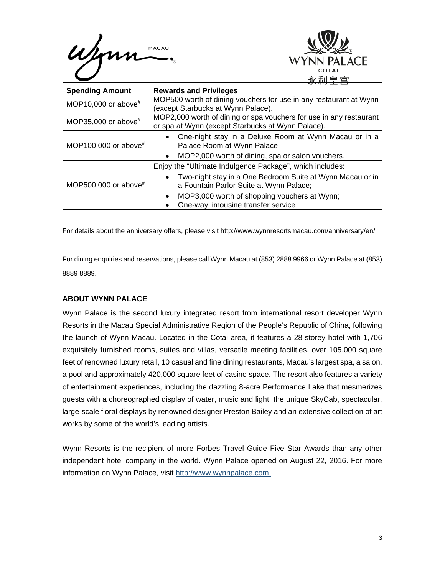



| <b>Spending Amount</b>  | <b>Rewards and Privileges</b>                                                                                           |
|-------------------------|-------------------------------------------------------------------------------------------------------------------------|
| MOP10,000 or above $*$  | MOP500 worth of dining vouchers for use in any restaurant at Wynn<br>(except Starbucks at Wynn Palace).                 |
| MOP35,000 or above $*$  | MOP2,000 worth of dining or spa vouchers for use in any restaurant<br>or spa at Wynn (except Starbucks at Wynn Palace). |
| MOP100,000 or above $#$ | One-night stay in a Deluxe Room at Wynn Macau or in a<br>$\bullet$<br>Palace Room at Wynn Palace;                       |
|                         | MOP2,000 worth of dining, spa or salon vouchers.<br>$\bullet$                                                           |
| MOP500,000 or above#    | Enjoy the "Ultimate Indulgence Package", which includes:                                                                |
|                         | Two-night stay in a One Bedroom Suite at Wynn Macau or in<br>a Fountain Parlor Suite at Wynn Palace;                    |
|                         | MOP3,000 worth of shopping vouchers at Wynn;<br>$\bullet$<br>One-way limousine transfer service                         |

For details about the anniversary offers, please visit http://www.wynnresortsmacau.com/anniversary/en/

For dining enquiries and reservations, please call Wynn Macau at (853) 2888 9966 or Wynn Palace at (853) 8889 8889.

## **ABOUT WYNN PALACE**

Wynn Palace is the second luxury integrated resort from international resort developer Wynn Resorts in the Macau Special Administrative Region of the People's Republic of China, following the launch of Wynn Macau. Located in the Cotai area, it features a 28-storey hotel with 1,706 exquisitely furnished rooms, suites and villas, versatile meeting facilities, over 105,000 square feet of renowned luxury retail, 10 casual and fine dining restaurants, Macau's largest spa, a salon, a pool and approximately 420,000 square feet of casino space. The resort also features a variety of entertainment experiences, including the dazzling 8-acre Performance Lake that mesmerizes guests with a choreographed display of water, music and light, the unique SkyCab, spectacular, large-scale floral displays by renowned designer Preston Bailey and an extensive collection of art works by some of the world's leading artists.

Wynn Resorts is the recipient of more Forbes Travel Guide Five Star Awards than any other independent hotel company in the world. Wynn Palace opened on August 22, 2016. For more information on Wynn Palace, visit http://www.wynnpalace.com.